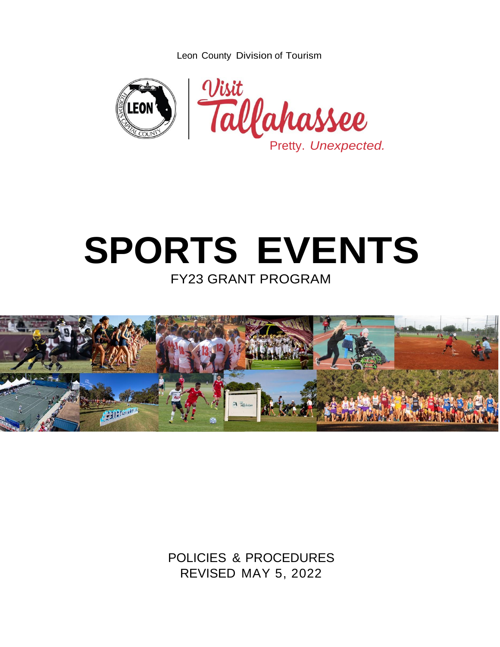Leon County Division of Tourism



# **SPORTS EVENTS**

FY23 GRANT PROGRAM



POLICIES & PROCEDURES REVISED MAY 5, 2022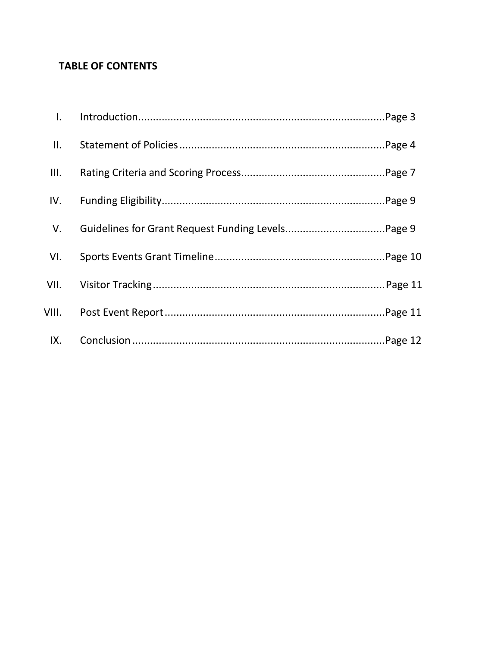# **TABLE OF CONTENTS**

| $\mathsf{L}$ |  |
|--------------|--|
| II.          |  |
| III.         |  |
| IV.          |  |
| V.           |  |
| VI.          |  |
| VII.         |  |
| VIII.        |  |
| IX.          |  |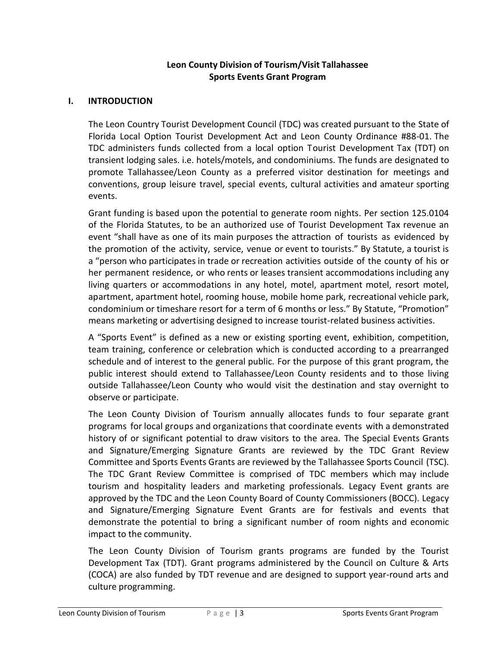### **Leon County Division of Tourism/Visit Tallahassee Sports Events Grant Program**

### **I. INTRODUCTION**

The Leon Country Tourist Development Council (TDC) was created pursuant to the State of Florida Local Option Tourist Development Act and Leon County Ordinance #88-01. The TDC administers funds collected from a local option Tourist Development Tax (TDT) on transient lodging sales. i.e. hotels/motels, and condominiums. The funds are designated to promote Tallahassee/Leon County as a preferred visitor destination for meetings and conventions, group leisure travel, special events, cultural activities and amateur sporting events.

Grant funding is based upon the potential to generate room nights. Per section 125.0104 of the Florida Statutes, to be an authorized use of Tourist Development Tax revenue an event "shall have as one of its main purposes the attraction of tourists as evidenced by the promotion of the activity, service, venue or event to tourists." By Statute, a tourist is a "person who participates in trade or recreation activities outside of the county of his or her permanent residence, or who rents or leases transient accommodations including any living quarters or accommodations in any hotel, motel, apartment motel, resort motel, apartment, apartment hotel, rooming house, mobile home park, recreational vehicle park, condominium or timeshare resort for a term of 6 months or less." By Statute, "Promotion" means marketing or advertising designed to increase tourist-related business activities.

A "Sports Event" is defined as a new or existing sporting event, exhibition, competition, team training, conference or celebration which is conducted according to a prearranged schedule and of interest to the general public. For the purpose of this grant program, the public interest should extend to Tallahassee/Leon County residents and to those living outside Tallahassee/Leon County who would visit the destination and stay overnight to observe or participate.

The Leon County Division of Tourism annually allocates funds to four separate grant programs for local groups and organizations that coordinate events with a demonstrated history of or significant potential to draw visitors to the area. The Special Events Grants and Signature/Emerging Signature Grants are reviewed by the TDC Grant Review Committee and Sports Events Grants are reviewed by the Tallahassee Sports Council (TSC). The TDC Grant Review Committee is comprised of TDC members which may include tourism and hospitality leaders and marketing professionals. Legacy Event grants are approved by the TDC and the Leon County Board of County Commissioners (BOCC). Legacy and Signature/Emerging Signature Event Grants are for festivals and events that demonstrate the potential to bring a significant number of room nights and economic impact to the community.

The Leon County Division of Tourism grants programs are funded by the Tourist Development Tax (TDT). Grant programs administered by the Council on Culture & Arts (COCA) are also funded by TDT revenue and are designed to support year-round arts and culture programming.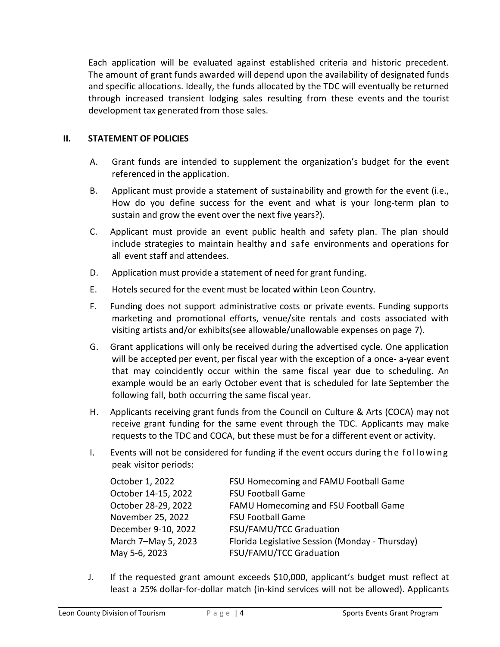Each application will be evaluated against established criteria and historic precedent. The amount of grant funds awarded will depend upon the availability of designated funds and specific allocations. Ideally, the funds allocated by the TDC will eventually be returned through increased transient lodging sales resulting from these events and the tourist development tax generated from those sales.

### **II. STATEMENT OF POLICIES**

- A. Grant funds are intended to supplement the organization's budget for the event referenced in the application.
- B. Applicant must provide a statement of sustainability and growth for the event (i.e., How do you define success for the event and what is your long-term plan to sustain and grow the event over the next five years?).
- C. Applicant must provide an event public health and safety plan. The plan should include strategies to maintain healthy and safe environments and operations for all event staff and attendees.
- D. Application must provide a statement of need for grant funding.
- E. Hotels secured for the event must be located within Leon Country.
- F. Funding does not support administrative costs or private events. Funding supports marketing and promotional efforts, venue/site rentals and costs associated with visiting artists and/or exhibits(see allowable/unallowable expenses on page 7).
- G. Grant applications will only be received during the advertised cycle. One application will be accepted per event, per fiscal year with the exception of a once- a-year event that may coincidently occur within the same fiscal year due to scheduling. An example would be an early October event that is scheduled for late September the following fall, both occurring the same fiscal year.
- H. Applicants receiving grant funds from the Council on Culture & Arts (COCA) may not receive grant funding for the same event through the TDC. Applicants may make requests to the TDC and COCA, but these must be for a different event or activity.
- I. Events will not be considered for funding if the event occurs during th e follow in g peak visitor periods:

| October 1, 2022     | FSU Homecoming and FAMU Football Game           |
|---------------------|-------------------------------------------------|
| October 14-15, 2022 | FSU Football Game                               |
| October 28-29, 2022 | FAMU Homecoming and FSU Football Game           |
| November 25, 2022   | <b>FSU Football Game</b>                        |
| December 9-10, 2022 | FSU/FAMU/TCC Graduation                         |
| March 7-May 5, 2023 | Florida Legislative Session (Monday - Thursday) |
| May 5-6, 2023       | FSU/FAMU/TCC Graduation                         |

J. If the requested grant amount exceeds \$10,000, applicant's budget must reflect at least a 25% dollar-for-dollar match (in-kind services will not be allowed). Applicants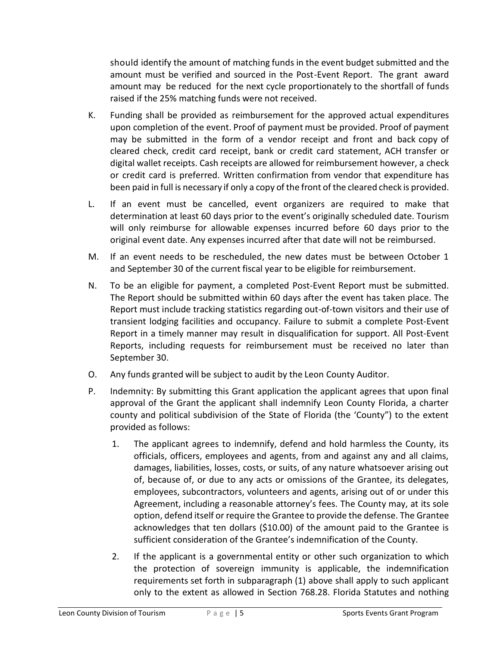should identify the amount of matching funds in the event budget submitted and the amount must be verified and sourced in the Post-Event Report. The grant award amount may be reduced for the next cycle proportionately to the shortfall of funds raised if the 25% matching funds were not received.

- K. Funding shall be provided as reimbursement for the approved actual expenditures upon completion of the event. Proof of payment must be provided. Proof of payment may be submitted in the form of a vendor receipt and front and back copy of cleared check, credit card receipt, bank or credit card statement, ACH transfer or digital wallet receipts. Cash receipts are allowed for reimbursement however, a check or credit card is preferred. Written confirmation from vendor that expenditure has been paid in full is necessary if only a copy of the front of the cleared check is provided.
- L. If an event must be cancelled, event organizers are required to make that determination at least 60 days prior to the event's originally scheduled date. Tourism will only reimburse for allowable expenses incurred before 60 days prior to the original event date. Any expenses incurred after that date will not be reimbursed.
- M. If an event needs to be rescheduled, the new dates must be between October 1 and September 30 of the current fiscal year to be eligible for reimbursement.
- N. To be an eligible for payment, a completed Post-Event Report must be submitted. The Report should be submitted within 60 days after the event has taken place. The Report must include tracking statistics regarding out-of-town visitors and their use of transient lodging facilities and occupancy. Failure to submit a complete Post-Event Report in a timely manner may result in disqualification for support. All Post-Event Reports, including requests for reimbursement must be received no later than September 30.
- O. Any funds granted will be subject to audit by the Leon County Auditor.
- P. Indemnity: By submitting this Grant application the applicant agrees that upon final approval of the Grant the applicant shall indemnify Leon County Florida, a charter county and political subdivision of the State of Florida (the 'County") to the extent provided as follows:
	- 1. The applicant agrees to indemnify, defend and hold harmless the County, its officials, officers, employees and agents, from and against any and all claims, damages, liabilities, losses, costs, or suits, of any nature whatsoever arising out of, because of, or due to any acts or omissions of the Grantee, its delegates, employees, subcontractors, volunteers and agents, arising out of or under this Agreement, including a reasonable attorney's fees. The County may, at its sole option, defend itself or require the Grantee to provide the defense. The Grantee acknowledges that ten dollars (\$10.00) of the amount paid to the Grantee is sufficient consideration of the Grantee's indemnification of the County.
	- 2. If the applicant is a governmental entity or other such organization to which the protection of sovereign immunity is applicable, the indemnification requirements set forth in subparagraph (1) above shall apply to such applicant only to the extent as allowed in Section 768.28. Florida Statutes and nothing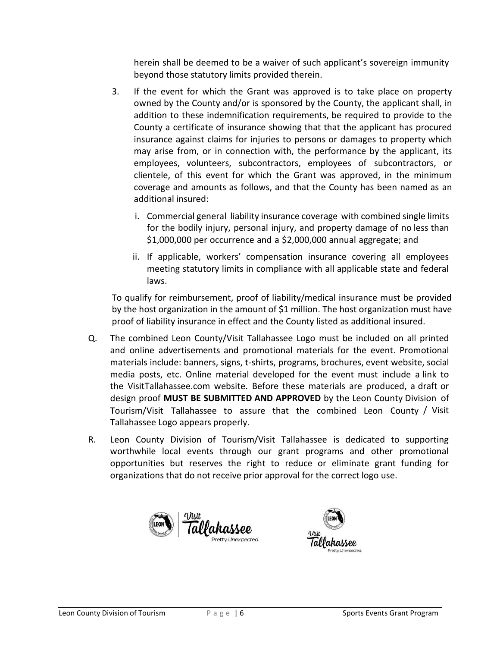herein shall be deemed to be a waiver of such applicant's sovereign immunity beyond those statutory limits provided therein.

- 3. If the event for which the Grant was approved is to take place on property owned by the County and/or is sponsored by the County, the applicant shall, in addition to these indemnification requirements, be required to provide to the County a certificate of insurance showing that that the applicant has procured insurance against claims for injuries to persons or damages to property which may arise from, or in connection with, the performance by the applicant, its employees, volunteers, subcontractors, employees of subcontractors, or clientele, of this event for which the Grant was approved, in the minimum coverage and amounts as follows, and that the County has been named as an additional insured:
	- i. Commercial general liability insurance coverage with combined single limits for the bodily injury, personal injury, and property damage of no less than \$1,000,000 per occurrence and a \$2,000,000 annual aggregate; and
	- ii. If applicable, workers' compensation insurance covering all employees meeting statutory limits in compliance with all applicable state and federal laws.

To qualify for reimbursement, proof of liability/medical insurance must be provided by the host organization in the amount of \$1 million. The host organization must have proof of liability insurance in effect and the County listed as additional insured.

- Q. The combined Leon County/Visit Tallahassee Logo must be included on all printed and online advertisements and promotional materials for the event. Promotional materials include: banners, signs, t-shirts, programs, brochures, event website, social media posts, etc. Online material developed for the event must include a link to the VisitTallahassee.com website. Before these materials are produced, a draft or design proof **MUST BE SUBMITTED AND APPROVED** by the Leon County Division of Tourism/Visit Tallahassee to assure that the combined Leon County / Visit Tallahassee Logo appears properly.
- R. Leon County Division of Tourism/Visit Tallahassee is dedicated to supporting worthwhile local events through our grant programs and other promotional opportunities but reserves the right to reduce or eliminate grant funding for organizations that do not receive prior approval for the correct logo use.



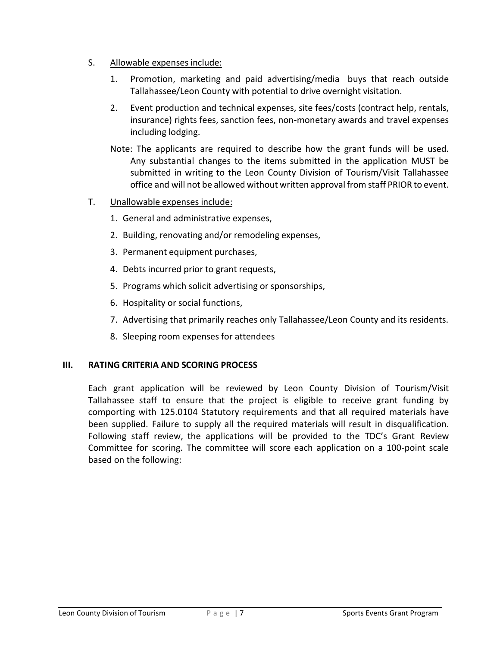- S. Allowable expenses include:
	- 1. Promotion, marketing and paid advertising/media buys that reach outside Tallahassee/Leon County with potential to drive overnight visitation.
	- 2. Event production and technical expenses, site fees/costs (contract help, rentals, insurance) rights fees, sanction fees, non-monetary awards and travel expenses including lodging.
	- Note: The applicants are required to describe how the grant funds will be used. Any substantial changes to the items submitted in the application MUST be submitted in writing to the Leon County Division of Tourism/Visit Tallahassee office and will not be allowed without written approval from staff PRIOR to event.
- T. Unallowable expenses include:
	- 1. General and administrative expenses,
	- 2. Building, renovating and/or remodeling expenses,
	- 3. Permanent equipment purchases,
	- 4. Debts incurred prior to grant requests,
	- 5. Programs which solicit advertising or sponsorships,
	- 6. Hospitality or social functions,
	- 7. Advertising that primarily reaches only Tallahassee/Leon County and its residents.
	- 8. Sleeping room expenses for attendees

### **III. RATING CRITERIA AND SCORING PROCESS**

Each grant application will be reviewed by Leon County Division of Tourism/Visit Tallahassee staff to ensure that the project is eligible to receive grant funding by comporting with 125.0104 Statutory requirements and that all required materials have been supplied. Failure to supply all the required materials will result in disqualification. Following staff review, the applications will be provided to the TDC's Grant Review Committee for scoring. The committee will score each application on a 100-point scale based on the following: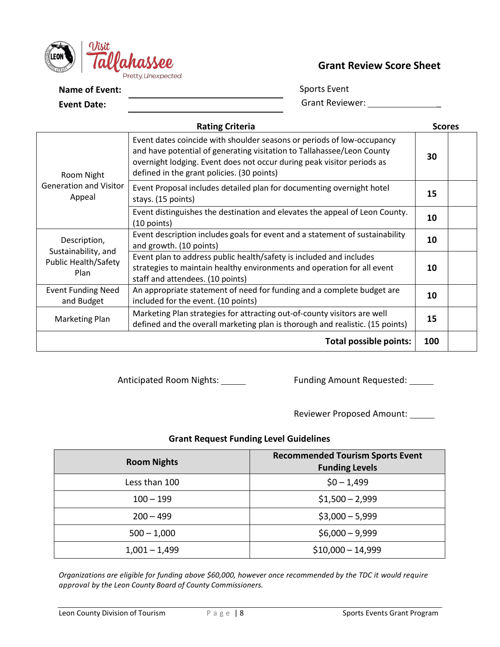

# **Grant Review Score Sheet**

**Name of Event:** 

**Event Date:**

Sports Event Grant Reviewer: \_\_\_\_\_\_\_\_\_\_\_\_\_\_\_\_\_\_

| <b>Rating Criteria</b>                  |                                                                                                                                                                                                                                                                          |     |  |  |
|-----------------------------------------|--------------------------------------------------------------------------------------------------------------------------------------------------------------------------------------------------------------------------------------------------------------------------|-----|--|--|
| Room Night                              | Event dates coincide with shoulder seasons or periods of low-occupancy<br>and have potential of generating visitation to Tallahassee/Leon County<br>overnight lodging. Event does not occur during peak visitor periods as<br>defined in the grant policies. (30 points) | 30  |  |  |
| <b>Generation and Visitor</b><br>Appeal | Event Proposal includes detailed plan for documenting overnight hotel<br>stays. (15 points)                                                                                                                                                                              | 15  |  |  |
|                                         | Event distinguishes the destination and elevates the appeal of Leon County.<br>$(10$ points)                                                                                                                                                                             | 10  |  |  |
| Description,<br>Sustainability, and     | Event description includes goals for event and a statement of sustainability<br>and growth. (10 points)                                                                                                                                                                  | 10  |  |  |
| <b>Public Health/Safety</b><br>Plan     | Event plan to address public health/safety is included and includes<br>strategies to maintain healthy environments and operation for all event<br>staff and attendees. (10 points)                                                                                       | 10  |  |  |
| <b>Event Funding Need</b><br>and Budget | An appropriate statement of need for funding and a complete budget are<br>included for the event. (10 points)                                                                                                                                                            | 10  |  |  |
| Marketing Plan                          | Marketing Plan strategies for attracting out-of-county visitors are well<br>defined and the overall marketing plan is thorough and realistic. (15 points)                                                                                                                | 15  |  |  |
|                                         | <b>Total possible points:</b>                                                                                                                                                                                                                                            | 100 |  |  |

Anticipated Room Nights: \_\_\_\_\_\_ Funding Amount Requested: \_\_\_\_\_

Reviewer Proposed Amount:

### **Grant Request Funding Level Guidelines**

| <b>Room Nights</b> | <b>Recommended Tourism Sports Event</b><br><b>Funding Levels</b> |
|--------------------|------------------------------------------------------------------|
| Less than 100      | $$0 - 1,499$                                                     |
| $100 - 199$        | $$1,500 - 2,999$                                                 |
| $200 - 499$        | $$3,000 - 5,999$                                                 |
| $500 - 1,000$      | $$6,000 - 9,999$                                                 |
| $1,001 - 1,499$    | $$10,000 - 14,999$                                               |

*Organizations are eligible for funding above \$60,000, however once recommended by the TDC it would require approval by the Leon County Board of County Commissioners.*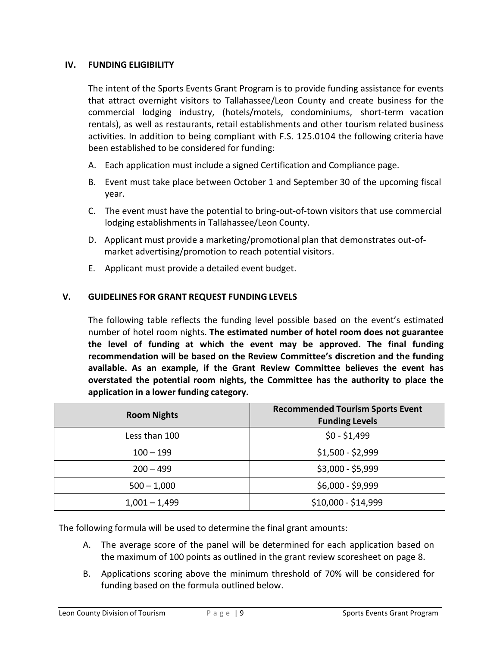### **IV. FUNDING ELIGIBILITY**

The intent of the Sports Events Grant Program is to provide funding assistance for events that attract overnight visitors to Tallahassee/Leon County and create business for the commercial lodging industry, (hotels/motels, condominiums, short-term vacation rentals), as well as restaurants, retail establishments and other tourism related business activities. In addition to being compliant with F.S. 125.0104 the following criteria have been established to be considered for funding:

- A. Each application must include a signed Certification and Compliance page.
- B. Event must take place between October 1 and September 30 of the upcoming fiscal year.
- C. The event must have the potential to bring-out-of-town visitors that use commercial lodging establishments in Tallahassee/Leon County.
- D. Applicant must provide a marketing/promotional plan that demonstrates out-ofmarket advertising/promotion to reach potential visitors.
- E. Applicant must provide a detailed event budget.

# **V. GUIDELINES FOR GRANT REQUEST FUNDING LEVELS**

The following table reflects the funding level possible based on the event's estimated number of hotel room nights. **The estimated number of hotel room does not guarantee the level of funding at which the event may be approved. The final funding recommendation will be based on the Review Committee's discretion and the funding available. As an example, if the Grant Review Committee believes the event has overstated the potential room nights, the Committee has the authority to place the application in a lower funding category.**

| <b>Room Nights</b> | <b>Recommended Tourism Sports Event</b><br><b>Funding Levels</b> |
|--------------------|------------------------------------------------------------------|
| Less than 100      | $$0 - $1,499$                                                    |
| $100 - 199$        | $$1,500 - $2,999$                                                |
| $200 - 499$        | $$3,000 - $5,999$                                                |
| $500 - 1,000$      | $$6,000 - $9,999$                                                |
| $1,001 - 1,499$    | \$10,000 - \$14,999                                              |

The following formula will be used to determine the final grant amounts:

- A. The average score of the panel will be determined for each application based on the maximum of 100 points as outlined in the grant review scoresheet on page 8.
- B. Applications scoring above the minimum threshold of 70% will be considered for funding based on the formula outlined below.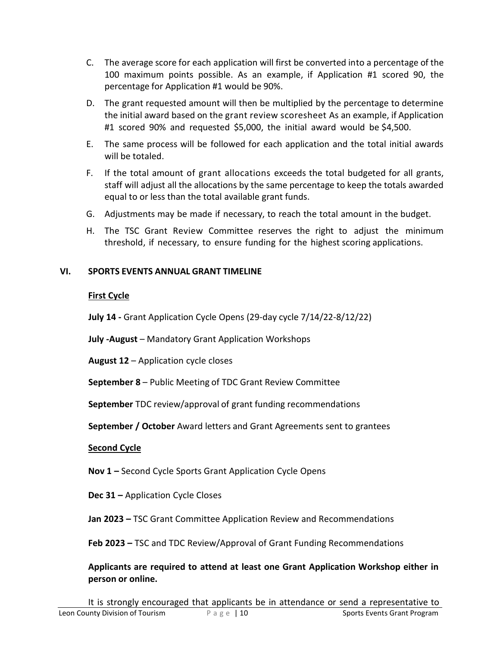- C. The average score for each application will first be converted into a percentage of the 100 maximum points possible. As an example, if Application #1 scored 90, the percentage for Application #1 would be 90%.
- D. The grant requested amount will then be multiplied by the percentage to determine the initial award based on the grant review scoresheet As an example, if Application #1 scored 90% and requested \$5,000, the initial award would be \$4,500.
- E. The same process will be followed for each application and the total initial awards will be totaled.
- F. If the total amount of grant allocations exceeds the total budgeted for all grants, staff will adjust all the allocations by the same percentage to keep the totals awarded equal to or less than the total available grant funds.
- G. Adjustments may be made if necessary, to reach the total amount in the budget.
- H. The TSC Grant Review Committee reserves the right to adjust the minimum threshold, if necessary, to ensure funding for the highest scoring applications.

# **VI. SPORTS EVENTS ANNUAL GRANT TIMELINE**

# **First Cycle**

**July 14 -** Grant Application Cycle Opens (29-day cycle 7/14/22-8/12/22)

**July -August** – Mandatory Grant Application Workshops

**August 12** – Application cycle closes

**September 8** – Public Meeting of TDC Grant Review Committee

**September** TDC review/approval of grant funding recommendations

**September / October** Award letters and Grant Agreements sent to grantees

# **Second Cycle**

**Nov 1 –** Second Cycle Sports Grant Application Cycle Opens

**Dec 31 –** Application Cycle Closes

**Jan 2023 –** TSC Grant Committee Application Review and Recommendations

**Feb 2023 –** TSC and TDC Review/Approval of Grant Funding Recommendations

**Applicants are required to attend at least one Grant Application Workshop either in person or online.**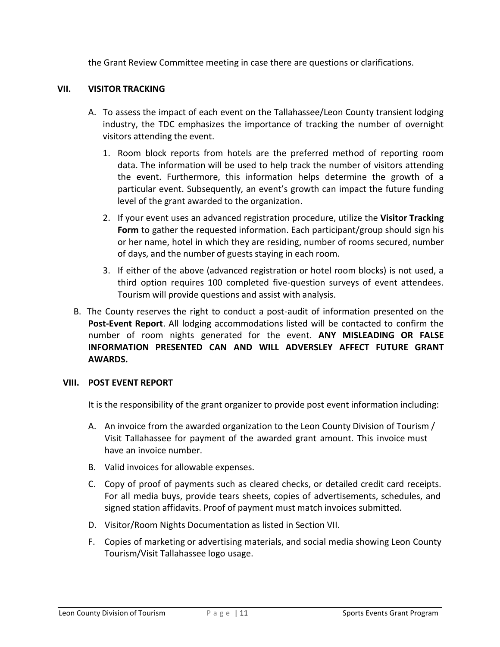the Grant Review Committee meeting in case there are questions or clarifications.

### **VII. VISITOR TRACKING**

- A. To assess the impact of each event on the Tallahassee/Leon County transient lodging industry, the TDC emphasizes the importance of tracking the number of overnight visitors attending the event.
	- 1. Room block reports from hotels are the preferred method of reporting room data. The information will be used to help track the number of visitors attending the event. Furthermore, this information helps determine the growth of a particular event. Subsequently, an event's growth can impact the future funding level of the grant awarded to the organization.
	- 2. If your event uses an advanced registration procedure, utilize the **Visitor Tracking Form** to gather the requested information. Each participant/group should sign his or her name, hotel in which they are residing, number of rooms secured, number of days, and the number of guests staying in each room.
	- 3. If either of the above (advanced registration or hotel room blocks) is not used, a third option requires 100 completed five-question surveys of event attendees. Tourism will provide questions and assist with analysis.
- B. The County reserves the right to conduct a post-audit of information presented on the **Post-Event Report**. All lodging accommodations listed will be contacted to confirm the number of room nights generated for the event. **ANY MISLEADING OR FALSE INFORMATION PRESENTED CAN AND WILL ADVERSLEY AFFECT FUTURE GRANT AWARDS.**

### **VIII. POST EVENT REPORT**

It is the responsibility of the grant organizer to provide post event information including:

- A. An invoice from the awarded organization to the Leon County Division of Tourism / Visit Tallahassee for payment of the awarded grant amount. This invoice must have an invoice number.
- B. Valid invoices for allowable expenses.
- C. Copy of proof of payments such as cleared checks, or detailed credit card receipts. For all media buys, provide tears sheets, copies of advertisements, schedules, and signed station affidavits. Proof of payment must match invoices submitted.
- D. Visitor/Room Nights Documentation as listed in Section VII.
- F. Copies of marketing or advertising materials, and social media showing Leon County Tourism/Visit Tallahassee logo usage.